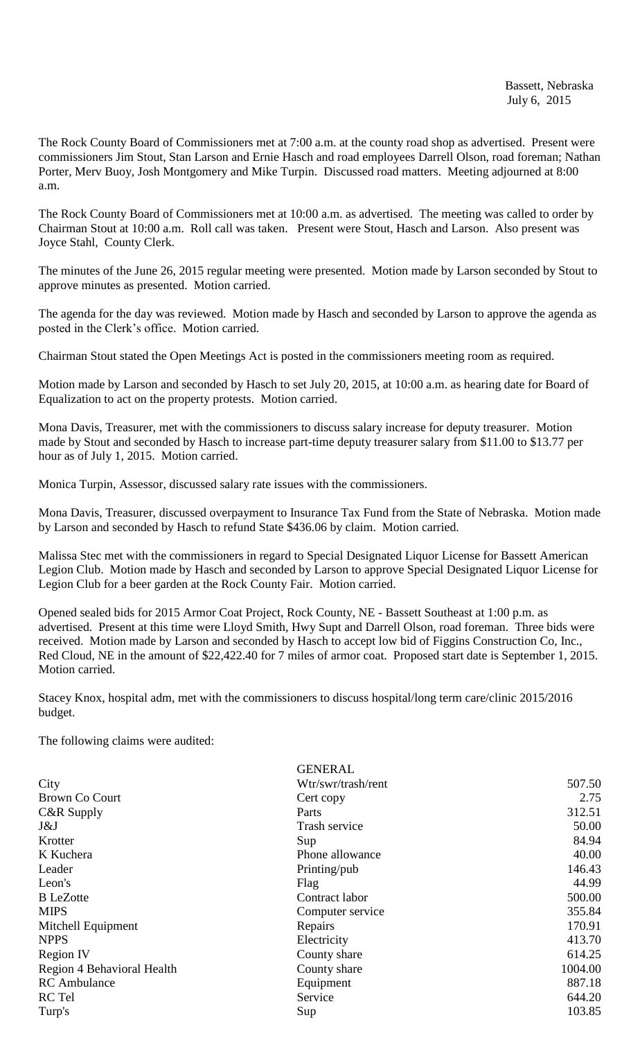The Rock County Board of Commissioners met at 7:00 a.m. at the county road shop as advertised. Present were commissioners Jim Stout, Stan Larson and Ernie Hasch and road employees Darrell Olson, road foreman; Nathan Porter, Merv Buoy, Josh Montgomery and Mike Turpin. Discussed road matters. Meeting adjourned at 8:00 a.m.

The Rock County Board of Commissioners met at 10:00 a.m. as advertised. The meeting was called to order by Chairman Stout at 10:00 a.m. Roll call was taken. Present were Stout, Hasch and Larson. Also present was Joyce Stahl, County Clerk.

The minutes of the June 26, 2015 regular meeting were presented. Motion made by Larson seconded by Stout to approve minutes as presented. Motion carried.

The agenda for the day was reviewed. Motion made by Hasch and seconded by Larson to approve the agenda as posted in the Clerk's office. Motion carried.

Chairman Stout stated the Open Meetings Act is posted in the commissioners meeting room as required.

Motion made by Larson and seconded by Hasch to set July 20, 2015, at 10:00 a.m. as hearing date for Board of Equalization to act on the property protests. Motion carried.

Mona Davis, Treasurer, met with the commissioners to discuss salary increase for deputy treasurer. Motion made by Stout and seconded by Hasch to increase part-time deputy treasurer salary from \$11.00 to \$13.77 per hour as of July 1, 2015. Motion carried.

Monica Turpin, Assessor, discussed salary rate issues with the commissioners.

Mona Davis, Treasurer, discussed overpayment to Insurance Tax Fund from the State of Nebraska. Motion made by Larson and seconded by Hasch to refund State \$436.06 by claim. Motion carried.

Malissa Stec met with the commissioners in regard to Special Designated Liquor License for Bassett American Legion Club. Motion made by Hasch and seconded by Larson to approve Special Designated Liquor License for Legion Club for a beer garden at the Rock County Fair. Motion carried.

Opened sealed bids for 2015 Armor Coat Project, Rock County, NE - Bassett Southeast at 1:00 p.m. as advertised. Present at this time were Lloyd Smith, Hwy Supt and Darrell Olson, road foreman. Three bids were received. Motion made by Larson and seconded by Hasch to accept low bid of Figgins Construction Co, Inc., Red Cloud, NE in the amount of \$22,422.40 for 7 miles of armor coat. Proposed start date is September 1, 2015. Motion carried.

Stacey Knox, hospital adm, met with the commissioners to discuss hospital/long term care/clinic 2015/2016 budget.

The following claims were audited:

|                            | <b>GENERAL</b>     |         |
|----------------------------|--------------------|---------|
| City                       | Wtr/swr/trash/rent | 507.50  |
| Brown Co Court             | Cert copy          | 2.75    |
| C&R Supply                 | Parts              | 312.51  |
| J&J                        | Trash service      | 50.00   |
| Krotter                    | Sup                | 84.94   |
| K Kuchera                  | Phone allowance    | 40.00   |
| Leader                     | Printing/pub       | 146.43  |
| Leon's                     | Flag               | 44.99   |
| <b>B</b> LeZotte           | Contract labor     | 500.00  |
| <b>MIPS</b>                | Computer service   | 355.84  |
| Mitchell Equipment         | Repairs            | 170.91  |
| <b>NPPS</b>                | Electricity        | 413.70  |
| <b>Region IV</b>           | County share       | 614.25  |
| Region 4 Behavioral Health | County share       | 1004.00 |
| <b>RC</b> Ambulance        | Equipment          | 887.18  |
| <b>RC</b> Tel              | Service            | 644.20  |
| Turp's                     | Sup                | 103.85  |